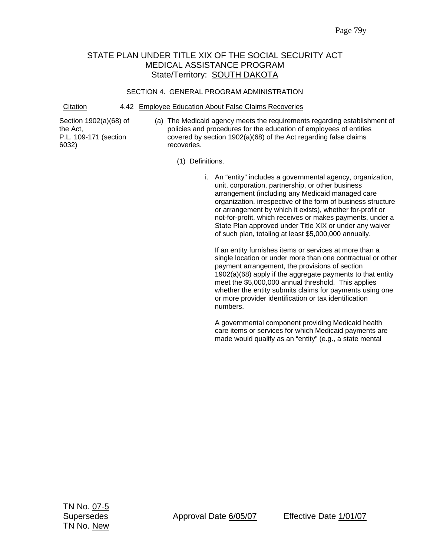# STATE PLAN UNDER TITLE XIX OF THE SOCIAL SECURITY ACT MEDICAL ASSISTANCE PROGRAM State/Territory: **SOUTH DAKOTA**

### SECTION 4. GENERAL PROGRAM ADMINISTRATION

Citation 4.42 Employee Education About False Claims Recoveries

Section 1902(a)(68) of the Act, P.L. 109-171 (section 6032)

(a) The Medicaid agency meets the requirements regarding establishment of policies and procedures for the education of employees of entities covered by section 1902(a)(68) of the Act regarding false claims recoveries.

(1) Definitions.

i. An "entity" includes a governmental agency, organization, unit, corporation, partnership, or other business arrangement (including any Medicaid managed care organization, irrespective of the form of business structure or arrangement by which it exists), whether for-profit or not-for-profit, which receives or makes payments, under a State Plan approved under Title XIX or under any waiver of such plan, totaling at least \$5,000,000 annually.

If an entity furnishes items or services at more than a single location or under more than one contractual or other payment arrangement, the provisions of section 1902(a)(68) apply if the aggregate payments to that entity meet the \$5,000,000 annual threshold. This applies whether the entity submits claims for payments using one or more provider identification or tax identification numbers.

A governmental component providing Medicaid health care items or services for which Medicaid payments are made would qualify as an "entity" (e.g., a state mental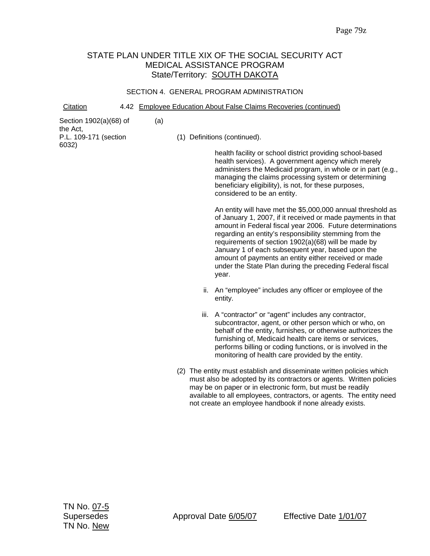# STATE PLAN UNDER TITLE XIX OF THE SOCIAL SECURITY ACT MEDICAL ASSISTANCE PROGRAM State/Territory: **SOUTH DAKOTA**

#### SECTION 4. GENERAL PROGRAM ADMINISTRATION

Citation 4.42 Employee Education About False Claims Recoveries (continued)

(a)

|  |  | Section 1902(a)(68) of |  |
|--|--|------------------------|--|
|--|--|------------------------|--|

the Act, P.L. 109-171 (section 6032)

(1) Definitions (continued).

health facility or school district providing school-based health services). A government agency which merely administers the Medicaid program, in whole or in part (e.g., managing the claims processing system or determining beneficiary eligibility), is not, for these purposes, considered to be an entity.

An entity will have met the \$5,000,000 annual threshold as of January 1, 2007, if it received or made payments in that amount in Federal fiscal year 2006. Future determinations regarding an entity's responsibility stemming from the requirements of section 1902(a)(68) will be made by January 1 of each subsequent year, based upon the amount of payments an entity either received or made under the State Plan during the preceding Federal fiscal year.

- ii. An "employee" includes any officer or employee of the entity.
- iii. A "contractor" or "agent" includes any contractor, subcontractor, agent, or other person which or who, on behalf of the entity, furnishes, or otherwise authorizes the furnishing of, Medicaid health care items or services, performs billing or coding functions, or is involved in the monitoring of health care provided by the entity.
- (2) The entity must establish and disseminate written policies which must also be adopted by its contractors or agents. Written policies may be on paper or in electronic form, but must be readily available to all employees, contractors, or agents. The entity need not create an employee handbook if none already exists.